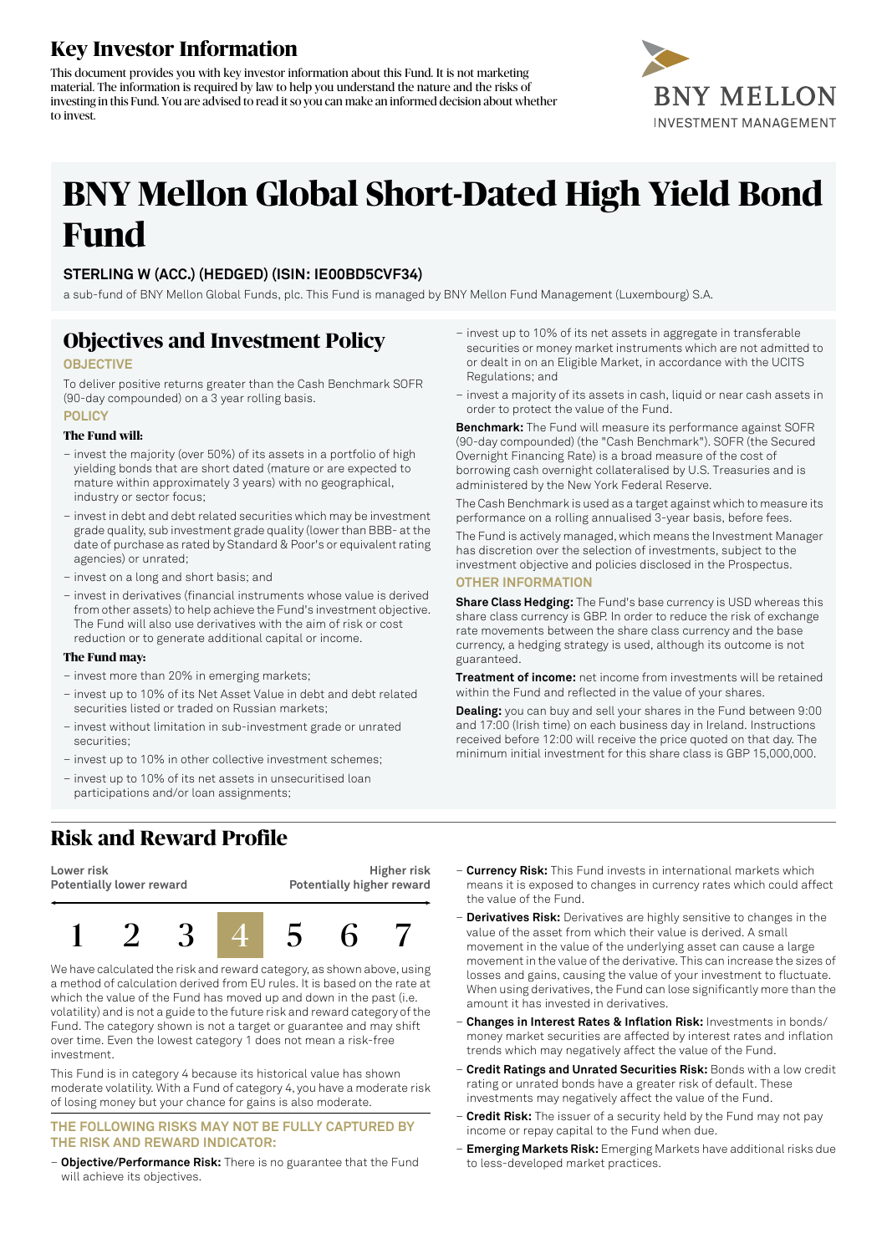## **Key Investor Information**

This document provides you with key investor information about this Fund. It is not marketing material. The information is required by law to help you understand the nature and the risks of investing in this Fund. You are advised to read itso you can make an informed decision about whether to invest.



# **BNY Mellon Global Short-Dated High Yield Bond Fund**

### **STERLING W (ACC.) (HEDGED) (ISIN: IE00BD5CVF34)**

a sub-fund of BNY Mellon Global Funds, plc. This Fund is managed by BNY Mellon Fund Management (Luxembourg) S.A.

### **Objectives and Investment Policy**

#### **OBJECTIVE**

To deliver positive returns greater than the Cash Benchmark SOFR (90-day compounded) on a 3 year rolling basis. **POLICY**

#### **The Fund will:**

- invest the majority (over 50%) of its assets in a portfolio of high yielding bonds that are short dated (mature or are expected to mature within approximately 3 years) with no geographical, industry or sector focus;
- invest in debt and debt related securities which may be investment grade quality, sub investment grade quality (lowerthan BBB- atthe date of purchase as rated by Standard & Poor's or equivalent rating agencies) or unrated;
- invest on a long and short basis; and
- invest in derivatives (financial instruments whose value is derived from other assets) to help achieve the Fund's investment objective. The Fund will also use derivatives with the aim of risk or cost reduction or to generate additional capital or income.

#### **The Fund may:**

- invest more than 20% in emerging markets;
- invest up to 10% of its Net Asset Value in debt and debt related securities listed or traded on Russian markets;
- invest without limitation in sub-investment grade or unrated securities;
- invest up to 10% in other collective investment schemes;
- invest up to 10% of its net assets in unsecuritised loan participations and/or loan assignments;
- invest up to 10% of its net assets in aggregate in transferable securities or money market instruments which are not admitted to or dealt in on an Eligible Market, in accordance with the UCITS Regulations; and
- invest a majority of its assets in cash, liquid or near cash assets in order to protect the value of the Fund.

**Benchmark:** The Fund will measure its performance against SOFR (90-day compounded) (the "Cash Benchmark"). SOFR (the Secured Overnight Financing Rate) is a broad measure of the cost of borrowing cash overnight collateralised by U.S. Treasuries and is administered by the New York Federal Reserve.

The Cash Benchmark is used as a target against which to measure its performance on a rolling annualised 3-year basis, before fees.

The Fund is actively managed, which means the Investment Manager has discretion over the selection of investments, subject to the investment objective and policies disclosed in the Prospectus.

### **OTHER INFORMATION**

**Share Class Hedging:** The Fund's base currency is USD whereas this share class currency is GBP. In order to reduce the risk of exchange rate movements between the share class currency and the base currency, a hedging strategy is used, although its outcome is not guaranteed.

**Treatment of income:** net income from investments will be retained within the Fund and reflected in the value of your shares.

**Dealing:** you can buy and sell your shares in the Fund between 9:00 and 17:00 (Irish time) on each business day in Ireland. Instructions received before 12:00 will receive the price quoted on that day. The minimum initial investment for this share class is GBP 15,000,000.

# **Risk and Reward Profile**



We have calculated the risk and reward category, as shown above, using a method of calculation derived from EU rules. It is based on the rate at which the value of the Fund has moved up and down in the past (i.e. volatility) and is not a guide to the future risk and reward category of the Fund. The category shown is not a target or guarantee and may shift over time. Even the lowest category 1 does not mean a risk-free investment.

This Fund is in category 4 because its historical value has shown moderate volatility. With a Fund of category 4, you have a moderate risk of losing money but your chance for gains is also moderate.

#### **THE FOLLOWING RISKS MAY NOT BE FULLY CAPTURED BY THE RISK AND REWARD INDICATOR:**

– **Objective/Performance Risk:** There is no guarantee that the Fund will achieve its objectives.

- **Currency Risk:** This Fund invests in international markets which means it is exposed to changes in currency rates which could affect the value of the Fund.
- **Derivatives Risk:** Derivatives are highly sensitive to changes in the value of the asset from which their value is derived. A small movement in the value of the underlying asset can cause a large movement in the value of the derivative. This can increase the sizes of losses and gains, causing the value of your investment to fluctuate. When using derivatives, the Fund can lose significantly more than the amount it has invested in derivatives.
- **Changes in Interest Rates & Inflation Risk:** Investments in bonds/ money market securities are affected by interest rates and inflation trends which may negatively affect the value of the Fund.
- **Credit Ratings and Unrated Securities Risk:** Bonds with a low credit rating or unrated bonds have a greater risk of default. These investments may negatively affect the value of the Fund.
- **Credit Risk:** The issuer of a security held by the Fund may not pay income or repay capital to the Fund when due.
- **Emerging Markets Risk:** Emerging Markets have additional risks due to less-developed market practices.